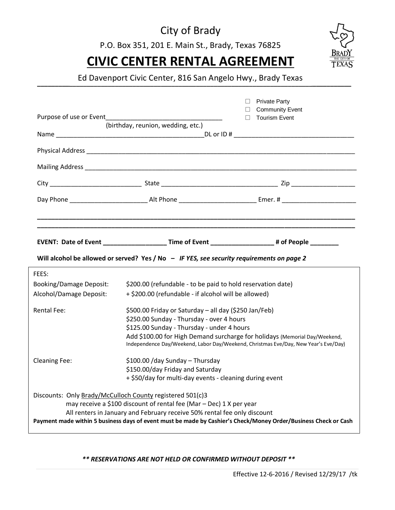## City of Brady

P.O. Box 351, 201 E. Main St., Brady, Texas 76825

# **CIVIC CENTER RENTAL AGREEMENT**



**\_\_\_\_\_\_\_\_\_\_\_\_\_\_\_\_\_\_\_\_\_\_\_\_\_\_\_\_\_\_\_\_\_\_\_\_\_\_\_\_\_\_\_\_\_\_\_\_\_\_\_\_\_\_\_\_\_\_\_\_\_\_\_\_\_\_\_\_\_\_\_\_\_\_\_\_\_\_\_\_\_\_\_\_\_\_\_\_\_** Ed Davenport Civic Center, 816 San Angelo Hwy., Brady Texas

|                                                                                                                                                                                                                 |                                                                                                   | $\Box$ Private Party                           |  |  |
|-----------------------------------------------------------------------------------------------------------------------------------------------------------------------------------------------------------------|---------------------------------------------------------------------------------------------------|------------------------------------------------|--|--|
|                                                                                                                                                                                                                 |                                                                                                   | <b>Community Event</b><br>$\Box$ Tourism Event |  |  |
|                                                                                                                                                                                                                 | (birthday, reunion, wedding, etc.)                                                                |                                                |  |  |
|                                                                                                                                                                                                                 |                                                                                                   |                                                |  |  |
|                                                                                                                                                                                                                 |                                                                                                   |                                                |  |  |
|                                                                                                                                                                                                                 |                                                                                                   |                                                |  |  |
|                                                                                                                                                                                                                 |                                                                                                   |                                                |  |  |
|                                                                                                                                                                                                                 |                                                                                                   |                                                |  |  |
|                                                                                                                                                                                                                 |                                                                                                   |                                                |  |  |
|                                                                                                                                                                                                                 | EVENT: Date of Event _____________________Time of Event ____________________# of People _________ |                                                |  |  |
|                                                                                                                                                                                                                 | Will alcohol be allowed or served? Yes / No - IF YES, see security requirements on page 2         |                                                |  |  |
| FEES:                                                                                                                                                                                                           |                                                                                                   |                                                |  |  |
| <b>Booking/Damage Deposit:</b>                                                                                                                                                                                  | \$200.00 (refundable - to be paid to hold reservation date)                                       |                                                |  |  |
| Alcohol/Damage Deposit:                                                                                                                                                                                         | + \$200.00 (refundable - if alcohol will be allowed)                                              |                                                |  |  |
| <b>Rental Fee:</b><br>\$500.00 Friday or Saturday - all day (\$250 Jan/Feb)                                                                                                                                     |                                                                                                   |                                                |  |  |
| \$250.00 Sunday - Thursday - over 4 hours                                                                                                                                                                       |                                                                                                   |                                                |  |  |
| \$125.00 Sunday - Thursday - under 4 hours<br>Add \$100.00 for High Demand surcharge for holidays (Memorial Day/Weekend,<br>Independence Day/Weekend, Labor Day/Weekend, Christmas Eve/Day, New Year's Eve/Day) |                                                                                                   |                                                |  |  |
|                                                                                                                                                                                                                 |                                                                                                   |                                                |  |  |
|                                                                                                                                                                                                                 |                                                                                                   |                                                |  |  |
| \$100.00 / day Sunday - Thursday<br><b>Cleaning Fee:</b>                                                                                                                                                        |                                                                                                   |                                                |  |  |
|                                                                                                                                                                                                                 | \$150.00/day Friday and Saturday                                                                  |                                                |  |  |
|                                                                                                                                                                                                                 | + \$50/day for multi-day events - cleaning during event                                           |                                                |  |  |
| Discounts: Only Brady/McCulloch County registered 501(c)3                                                                                                                                                       |                                                                                                   |                                                |  |  |
| may receive a \$100 discount of rental fee (Mar - Dec) 1 X per year                                                                                                                                             |                                                                                                   |                                                |  |  |
| All renters in January and February receive 50% rental fee only discount                                                                                                                                        |                                                                                                   |                                                |  |  |
| Payment made within 5 business days of event must be made by Cashier's Check/Money Order/Business Check or Cash                                                                                                 |                                                                                                   |                                                |  |  |

*\*\* RESERVATIONS ARE NOT HELD OR CONFIRMED WITHOUT DEPOSIT \*\**